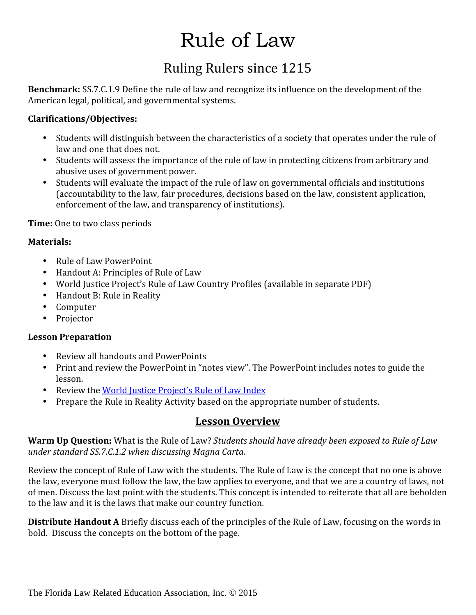# Rule of Law

### Ruling Rulers since 1215

**Benchmark:** SS.7.C.1.9 Define the rule of law and recognize its influence on the development of the American legal, political, and governmental systems.

#### **Clarifications/Objectives:**

- Students will distinguish between the characteristics of a society that operates under the rule of
- Students will assess the importance of the rule of law in protecting citizens from arbitrary and abusive uses of government power.
- Students will evaluate the impact of the rule of law on governmental officials and institutions (accountability to the law, fair procedures, decisions based on the law, consistent application, enforcement of the law, and transparency of institutions).

**Time:** One to two class periods

#### **Materials:**

- 
- Rule of Law PowerPoint<br>• Handout A: Principles of Rule of Law
- World Justice Project's Rule of Law Country Profiles (available in separate PDF)<br>• Handout B: Rule in Reality
- 
- Computer<br>• Projector
- 

#### **Lesson Preparation**

- 
- Review all handouts and PowerPoints<br>• Print and review the PowerPoint in "notes view". The PowerPoint includes notes to guide the
- lesson.<br>• Review the <u>World Justice Project's Rule of Law Index</u>
- Prepare the Rule in Reality Activity based on the appropriate number of students.

#### **Lesson Overview**

**Warm Up Question:** What is the Rule of Law? *Students should have already been exposed to Rule of Law under standard SS.7.C.1.2 when discussing Magna Carta.*

Review the concept of Rule of Law with the students. The Rule of Law is the concept that no one is above the law, everyone must follow the law, the law applies to everyone, and that we are a country of laws, not of men. Discuss the last point with the students. This concept is intended to reiterate that all are beholden to the law and it is the laws that make our country function.

**Distribute Handout A** Briefly discuss each of the principles of the Rule of Law, focusing on the words in bold. Discuss the concepts on the bottom of the page.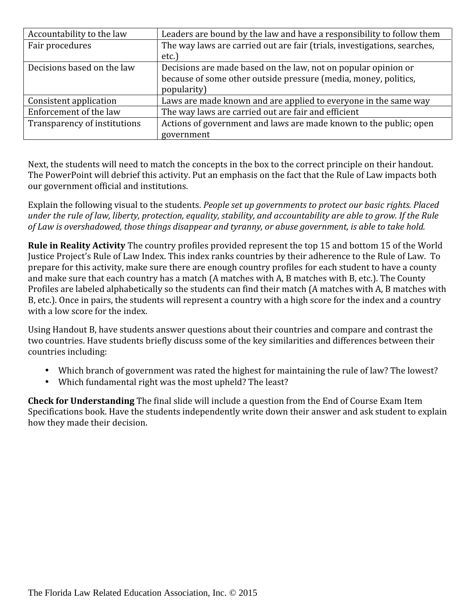| Accountability to the law    | Leaders are bound by the law and have a responsibility to follow them    |
|------------------------------|--------------------------------------------------------------------------|
| Fair procedures              | The way laws are carried out are fair (trials, investigations, searches, |
|                              | etc.)                                                                    |
| Decisions based on the law   | Decisions are made based on the law, not on popular opinion or           |
|                              | because of some other outside pressure (media, money, politics,          |
|                              | popularity)                                                              |
| Consistent application       | Laws are made known and are applied to everyone in the same way          |
| Enforcement of the law       | The way laws are carried out are fair and efficient                      |
| Transparency of institutions | Actions of government and laws are made known to the public; open        |
|                              | government                                                               |

Next, the students will need to match the concepts in the box to the correct principle on their handout. The PowerPoint will debrief this activity. Put an emphasis on the fact that the Rule of Law impacts both our government official and institutions.

Explain the following visual to the students. *People set up governments to protect our basic rights. Placed under the rule of law, liberty, protection, equality, stability, and accountability are able to grow. If the Rule of Law is overshadowed, those things disappear and tyranny, or abuse government, is able to take hold.*

**Rule in Reality Activity** The country profiles provided represent the top 15 and bottom 15 of the World Justice Project's Rule of Law Index. This index ranks countries by their adherence to the Rule of Law. To prepare for this activity, make sure there are enough country profiles for each student to have a county and make sure that each country has a match (A matches with A, B matches with B, etc.). The County Profiles are labeled alphabetically so the students can find their match (A matches with A, B matches with B, etc.). Once in pairs, the students will represent a country with a high score for the index and a country with a low score for the index.

Using Handout B, have students answer questions about their countries and compare and contrast the two countries. Have students briefly discuss some of the key similarities and differences between their countries including:

- Which branch of government was rated the highest for maintaining the rule of law? The lowest? Which fundamental right was the most upheld? The least?
- 

**Check for Understanding** The final slide will include a question from the End of Course Exam Item Specifications book. Have the students independently write down their answer and ask student to explain how they made their decision.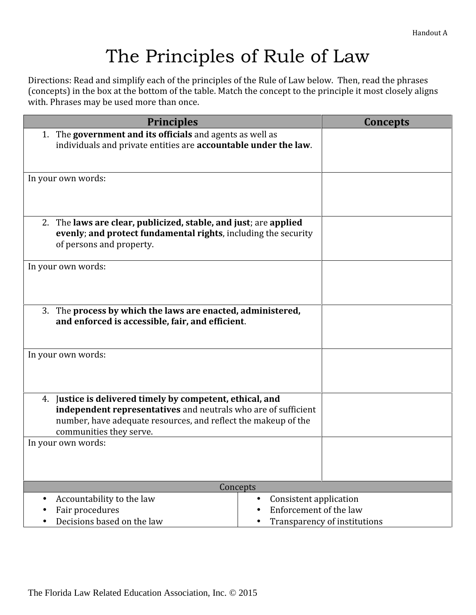## The Principles of Rule of Law

Directions: Read and simplify each of the principles of the Rule of Law below. Then, read the phrases (concepts) in the box at the bottom of the table. Match the concept to the principle it most closely aligns with. Phrases may be used more than once.

| <b>Principles</b>                                                                                                                                              | Concepts                     |
|----------------------------------------------------------------------------------------------------------------------------------------------------------------|------------------------------|
| 1. The government and its officials and agents as well as<br>individuals and private entities are accountable under the law.                                   |                              |
| In your own words:                                                                                                                                             |                              |
|                                                                                                                                                                |                              |
| 2. The laws are clear, publicized, stable, and just; are applied<br>evenly; and protect fundamental rights, including the security<br>of persons and property. |                              |
|                                                                                                                                                                |                              |
| In your own words:                                                                                                                                             |                              |
| The process by which the laws are enacted, administered,<br>3.<br>and enforced is accessible, fair, and efficient.                                             |                              |
| In your own words:                                                                                                                                             |                              |
| Justice is delivered timely by competent, ethical, and<br>4.<br>independent representatives and neutrals who are of sufficient                                 |                              |
| number, have adequate resources, and reflect the makeup of the                                                                                                 |                              |
| communities they serve.                                                                                                                                        |                              |
| In your own words:                                                                                                                                             |                              |
| Concepts                                                                                                                                                       |                              |
| Accountability to the law<br>$\bullet$                                                                                                                         | Consistent application       |
| Fair procedures                                                                                                                                                | Enforcement of the law       |
| Decisions based on the law                                                                                                                                     | Transparency of institutions |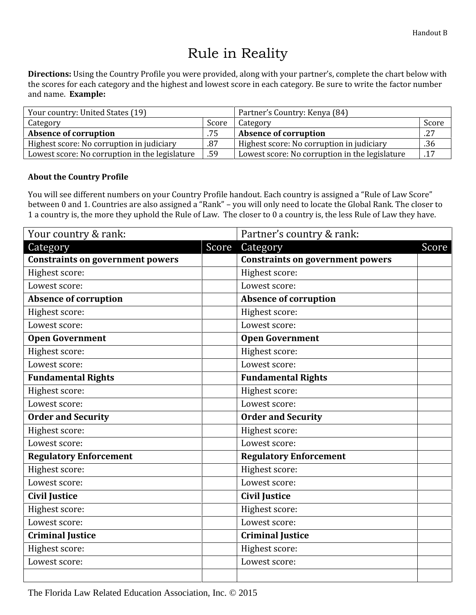## Rule in Reality

**Directions:** Using the Country Profile you were provided, along with your partner's, complete the chart below with the scores for each category and the highest and lowest score in each category. Be sure to write the factor number and name. **Example:**

| Your country: United States (19)                      |       | Partner's Country: Kenya (84)                  |       |  |
|-------------------------------------------------------|-------|------------------------------------------------|-------|--|
| Category                                              | Score | Category                                       | Score |  |
| <b>Absence of corruption</b>                          | .75   | <b>Absence of corruption</b>                   | .27   |  |
| Highest score: No corruption in judiciary             | .87   | Highest score: No corruption in judiciary      | .36   |  |
| .59<br>Lowest score: No corruption in the legislature |       | Lowest score: No corruption in the legislature | .17   |  |

#### **About the Country Profile**

You will see different numbers on your Country Profile handout. Each country is assigned a "Rule of Law Score" between 0 and 1. Countries are also assigned a "Rank" – you will only need to locate the Global Rank. The closer to 1 a country is, the more they uphold the Rule of Law. The closer to 0 a country is, the less Rule of Law they have.

| Your country & rank:                    |       | Partner's country & rank:               |       |
|-----------------------------------------|-------|-----------------------------------------|-------|
| Category                                | Score | Category                                | Score |
| <b>Constraints on government powers</b> |       | <b>Constraints on government powers</b> |       |
| Highest score:                          |       | Highest score:                          |       |
| Lowest score:                           |       | Lowest score:                           |       |
| <b>Absence of corruption</b>            |       | <b>Absence of corruption</b>            |       |
| Highest score:                          |       | Highest score:                          |       |
| Lowest score:                           |       | Lowest score:                           |       |
| <b>Open Government</b>                  |       | <b>Open Government</b>                  |       |
| Highest score:                          |       | Highest score:                          |       |
| Lowest score:                           |       | Lowest score:                           |       |
| <b>Fundamental Rights</b>               |       | <b>Fundamental Rights</b>               |       |
| Highest score:                          |       | Highest score:                          |       |
| Lowest score:                           |       | Lowest score:                           |       |
| <b>Order and Security</b>               |       | <b>Order and Security</b>               |       |
| Highest score:                          |       | Highest score:                          |       |
| Lowest score:                           |       | Lowest score:                           |       |
| <b>Regulatory Enforcement</b>           |       | <b>Regulatory Enforcement</b>           |       |
| Highest score:                          |       | Highest score:                          |       |
| Lowest score:                           |       | Lowest score:                           |       |
| <b>Civil Justice</b>                    |       | <b>Civil Justice</b>                    |       |
| Highest score:                          |       | Highest score:                          |       |
| Lowest score:                           |       | Lowest score:                           |       |
| <b>Criminal Justice</b>                 |       | <b>Criminal Justice</b>                 |       |
| Highest score:                          |       | Highest score:                          |       |
| Lowest score:                           |       | Lowest score:                           |       |
|                                         |       |                                         |       |

The Florida Law Related Education Association, Inc. © 2015